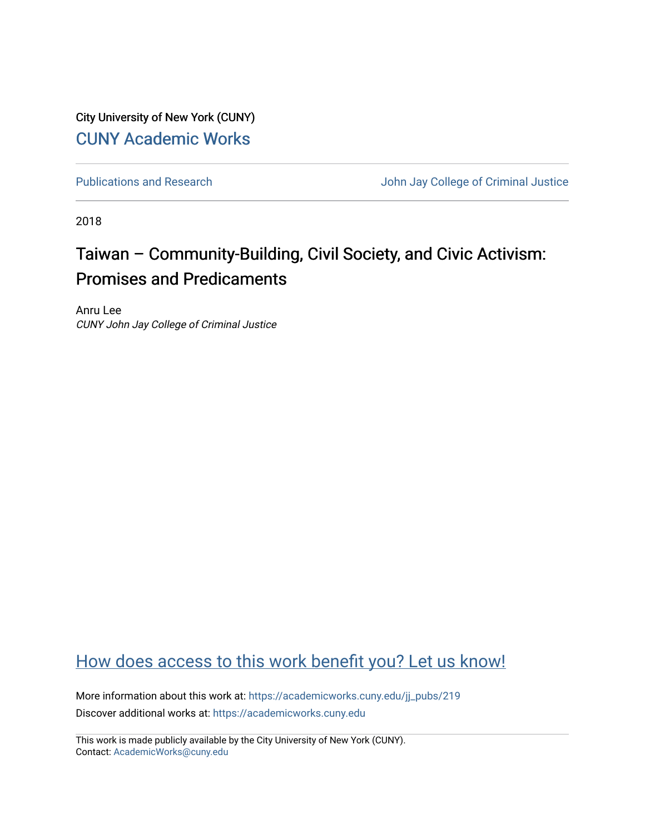City University of New York (CUNY) [CUNY Academic Works](https://academicworks.cuny.edu/) 

[Publications and Research](https://academicworks.cuny.edu/jj_pubs) **Value 2018** John Jay College of Criminal Justice

2018

# Taiwan – Community-Building, Civil Society, and Civic Activism: Promises and Predicaments

Anru Lee CUNY John Jay College of Criminal Justice

## [How does access to this work benefit you? Let us know!](http://ols.cuny.edu/academicworks/?ref=https://academicworks.cuny.edu/jj_pubs/219)

More information about this work at: [https://academicworks.cuny.edu/jj\\_pubs/219](https://academicworks.cuny.edu/jj_pubs/219) Discover additional works at: [https://academicworks.cuny.edu](https://academicworks.cuny.edu/?)

This work is made publicly available by the City University of New York (CUNY). Contact: [AcademicWorks@cuny.edu](mailto:AcademicWorks@cuny.edu)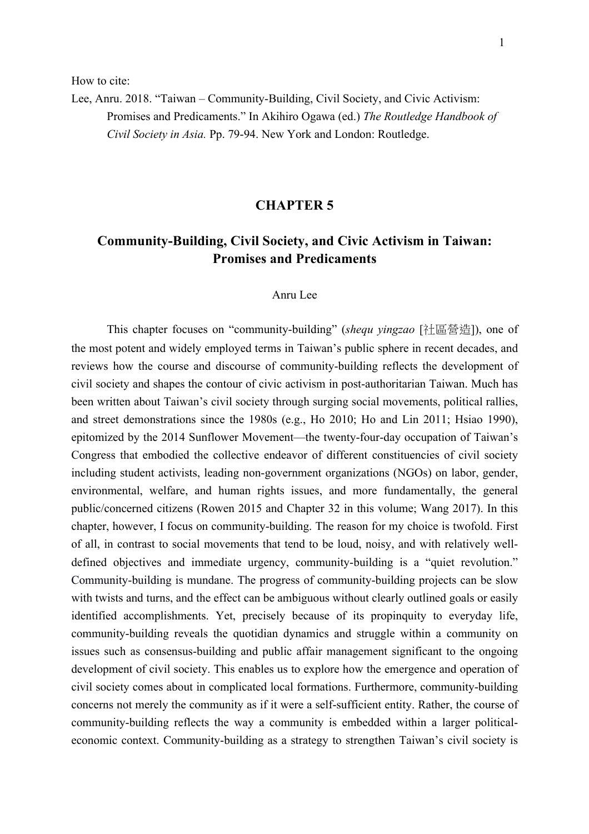How to cite:

Lee, Anru. 2018. "Taiwan – Community-Building, Civil Society, and Civic Activism: Promises and Predicaments." In Akihiro Ogawa (ed.) *The Routledge Handbook of Civil Society in Asia.* Pp. 79-94. New York and London: Routledge.

## **CHAPTER 5**

## **Community-Building, Civil Society, and Civic Activism in Taiwan: Promises and Predicaments**

#### Anru Lee

This chapter focuses on "community-building" (*shequ yingzao* [社區營造]), one of the most potent and widely employed terms in Taiwan's public sphere in recent decades, and reviews how the course and discourse of community-building reflects the development of civil society and shapes the contour of civic activism in post-authoritarian Taiwan. Much has been written about Taiwan's civil society through surging social movements, political rallies, and street demonstrations since the 1980s (e.g., Ho 2010; Ho and Lin 2011; Hsiao 1990), epitomized by the 2014 Sunflower Movement—the twenty-four-day occupation of Taiwan's Congress that embodied the collective endeavor of different constituencies of civil society including student activists, leading non-government organizations (NGOs) on labor, gender, environmental, welfare, and human rights issues, and more fundamentally, the general public/concerned citizens (Rowen 2015 and Chapter 32 in this volume; Wang 2017). In this chapter, however, I focus on community-building. The reason for my choice is twofold. First of all, in contrast to social movements that tend to be loud, noisy, and with relatively welldefined objectives and immediate urgency, community-building is a "quiet revolution." Community-building is mundane. The progress of community-building projects can be slow with twists and turns, and the effect can be ambiguous without clearly outlined goals or easily identified accomplishments. Yet, precisely because of its propinquity to everyday life, community-building reveals the quotidian dynamics and struggle within a community on issues such as consensus-building and public affair management significant to the ongoing development of civil society. This enables us to explore how the emergence and operation of civil society comes about in complicated local formations. Furthermore, community-building concerns not merely the community as if it were a self-sufficient entity. Rather, the course of community-building reflects the way a community is embedded within a larger politicaleconomic context. Community-building as a strategy to strengthen Taiwan's civil society is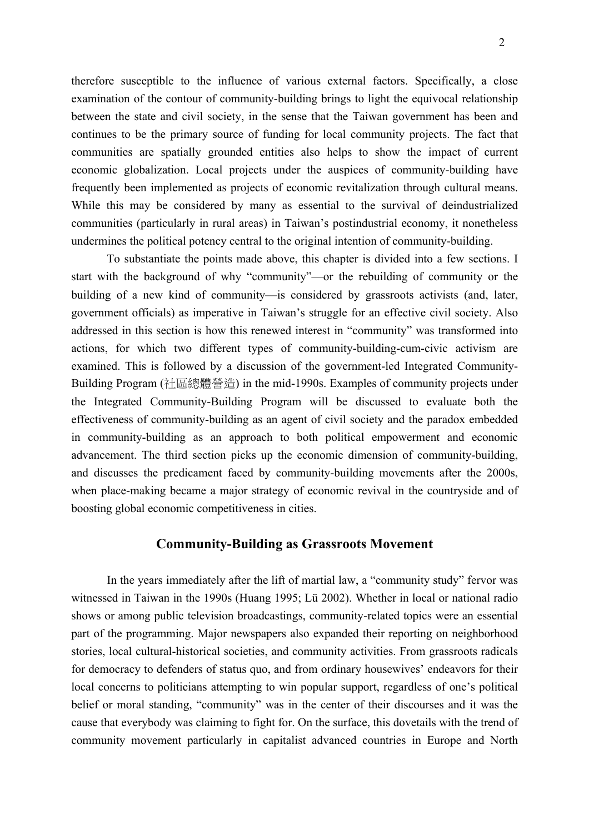therefore susceptible to the influence of various external factors. Specifically, a close examination of the contour of community-building brings to light the equivocal relationship between the state and civil society, in the sense that the Taiwan government has been and continues to be the primary source of funding for local community projects. The fact that communities are spatially grounded entities also helps to show the impact of current economic globalization. Local projects under the auspices of community-building have frequently been implemented as projects of economic revitalization through cultural means. While this may be considered by many as essential to the survival of deindustrialized communities (particularly in rural areas) in Taiwan's postindustrial economy, it nonetheless undermines the political potency central to the original intention of community-building.

To substantiate the points made above, this chapter is divided into a few sections. I start with the background of why "community"—or the rebuilding of community or the building of a new kind of community—is considered by grassroots activists (and, later, government officials) as imperative in Taiwan's struggle for an effective civil society. Also addressed in this section is how this renewed interest in "community" was transformed into actions, for which two different types of community-building-cum-civic activism are examined. This is followed by a discussion of the government-led Integrated Community-Building Program (社區總體營造) in the mid-1990s. Examples of community projects under the Integrated Community-Building Program will be discussed to evaluate both the effectiveness of community-building as an agent of civil society and the paradox embedded in community-building as an approach to both political empowerment and economic advancement. The third section picks up the economic dimension of community-building, and discusses the predicament faced by community-building movements after the 2000s, when place-making became a major strategy of economic revival in the countryside and of boosting global economic competitiveness in cities.

#### **Community-Building as Grassroots Movement**

In the years immediately after the lift of martial law, a "community study" fervor was witnessed in Taiwan in the 1990s (Huang 1995; Lü 2002). Whether in local or national radio shows or among public television broadcastings, community-related topics were an essential part of the programming. Major newspapers also expanded their reporting on neighborhood stories, local cultural-historical societies, and community activities. From grassroots radicals for democracy to defenders of status quo, and from ordinary housewives' endeavors for their local concerns to politicians attempting to win popular support, regardless of one's political belief or moral standing, "community" was in the center of their discourses and it was the cause that everybody was claiming to fight for. On the surface, this dovetails with the trend of community movement particularly in capitalist advanced countries in Europe and North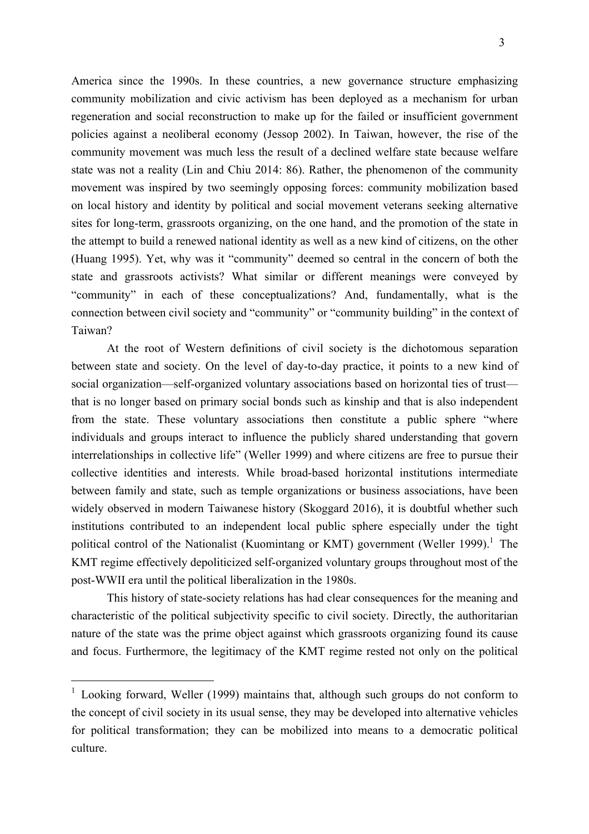America since the 1990s. In these countries, a new governance structure emphasizing community mobilization and civic activism has been deployed as a mechanism for urban regeneration and social reconstruction to make up for the failed or insufficient government policies against a neoliberal economy (Jessop 2002). In Taiwan, however, the rise of the community movement was much less the result of a declined welfare state because welfare state was not a reality (Lin and Chiu 2014: 86). Rather, the phenomenon of the community movement was inspired by two seemingly opposing forces: community mobilization based on local history and identity by political and social movement veterans seeking alternative sites for long-term, grassroots organizing, on the one hand, and the promotion of the state in the attempt to build a renewed national identity as well as a new kind of citizens, on the other (Huang 1995). Yet, why was it "community" deemed so central in the concern of both the state and grassroots activists? What similar or different meanings were conveyed by "community" in each of these conceptualizations? And, fundamentally, what is the connection between civil society and "community" or "community building" in the context of Taiwan?

At the root of Western definitions of civil society is the dichotomous separation between state and society. On the level of day-to-day practice, it points to a new kind of social organization—self-organized voluntary associations based on horizontal ties of trust that is no longer based on primary social bonds such as kinship and that is also independent from the state. These voluntary associations then constitute a public sphere "where individuals and groups interact to influence the publicly shared understanding that govern interrelationships in collective life" (Weller 1999) and where citizens are free to pursue their collective identities and interests. While broad-based horizontal institutions intermediate between family and state, such as temple organizations or business associations, have been widely observed in modern Taiwanese history (Skoggard 2016), it is doubtful whether such institutions contributed to an independent local public sphere especially under the tight political control of the Nationalist (Kuomintang or KMT) government (Weller 1999).<sup>1</sup> The KMT regime effectively depoliticized self-organized voluntary groups throughout most of the post-WWII era until the political liberalization in the 1980s.

This history of state-society relations has had clear consequences for the meaning and characteristic of the political subjectivity specific to civil society. Directly, the authoritarian nature of the state was the prime object against which grassroots organizing found its cause and focus. Furthermore, the legitimacy of the KMT regime rested not only on the political

<sup>&</sup>lt;sup>1</sup> Looking forward, Weller (1999) maintains that, although such groups do not conform to the concept of civil society in its usual sense, they may be developed into alternative vehicles for political transformation; they can be mobilized into means to a democratic political culture.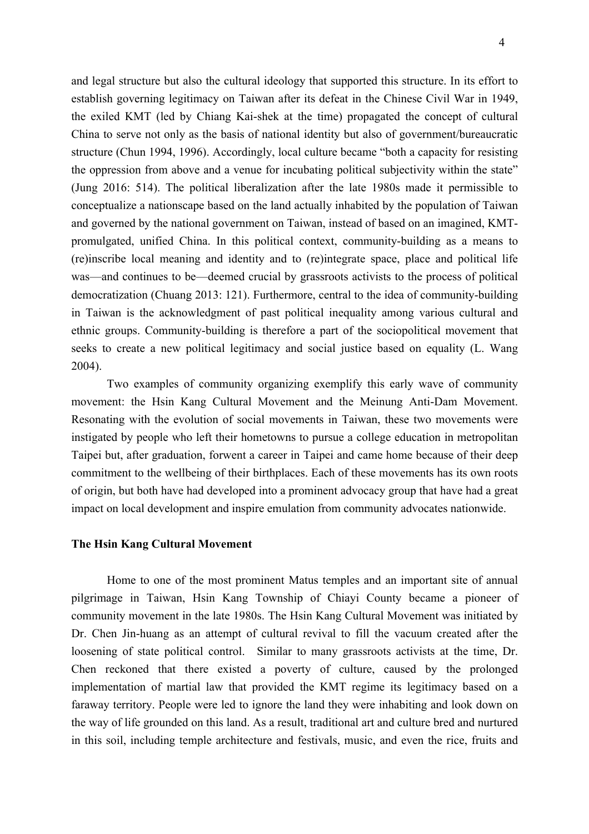and legal structure but also the cultural ideology that supported this structure. In its effort to establish governing legitimacy on Taiwan after its defeat in the Chinese Civil War in 1949, the exiled KMT (led by Chiang Kai-shek at the time) propagated the concept of cultural China to serve not only as the basis of national identity but also of government/bureaucratic structure (Chun 1994, 1996). Accordingly, local culture became "both a capacity for resisting the oppression from above and a venue for incubating political subjectivity within the state" (Jung 2016: 514). The political liberalization after the late 1980s made it permissible to conceptualize a nationscape based on the land actually inhabited by the population of Taiwan and governed by the national government on Taiwan, instead of based on an imagined, KMTpromulgated, unified China. In this political context, community-building as a means to (re)inscribe local meaning and identity and to (re)integrate space, place and political life was—and continues to be—deemed crucial by grassroots activists to the process of political democratization (Chuang 2013: 121). Furthermore, central to the idea of community-building in Taiwan is the acknowledgment of past political inequality among various cultural and ethnic groups. Community-building is therefore a part of the sociopolitical movement that seeks to create a new political legitimacy and social justice based on equality (L. Wang 2004).

Two examples of community organizing exemplify this early wave of community movement: the Hsin Kang Cultural Movement and the Meinung Anti-Dam Movement. Resonating with the evolution of social movements in Taiwan, these two movements were instigated by people who left their hometowns to pursue a college education in metropolitan Taipei but, after graduation, forwent a career in Taipei and came home because of their deep commitment to the wellbeing of their birthplaces. Each of these movements has its own roots of origin, but both have had developed into a prominent advocacy group that have had a great impact on local development and inspire emulation from community advocates nationwide.

#### **The Hsin Kang Cultural Movement**

Home to one of the most prominent Matus temples and an important site of annual pilgrimage in Taiwan, Hsin Kang Township of Chiayi County became a pioneer of community movement in the late 1980s. The Hsin Kang Cultural Movement was initiated by Dr. Chen Jin-huang as an attempt of cultural revival to fill the vacuum created after the loosening of state political control. Similar to many grassroots activists at the time, Dr. Chen reckoned that there existed a poverty of culture, caused by the prolonged implementation of martial law that provided the KMT regime its legitimacy based on a faraway territory. People were led to ignore the land they were inhabiting and look down on the way of life grounded on this land. As a result, traditional art and culture bred and nurtured in this soil, including temple architecture and festivals, music, and even the rice, fruits and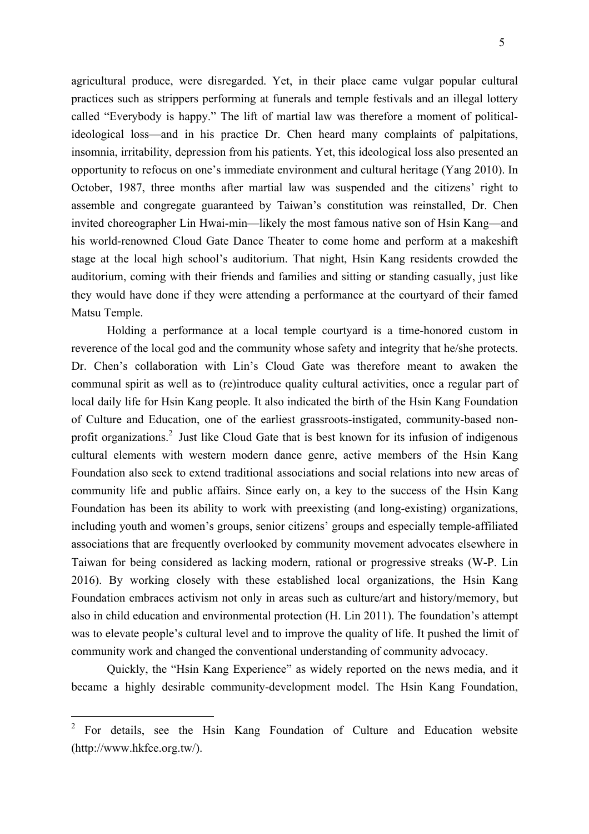agricultural produce, were disregarded. Yet, in their place came vulgar popular cultural practices such as strippers performing at funerals and temple festivals and an illegal lottery called "Everybody is happy." The lift of martial law was therefore a moment of politicalideological loss—and in his practice Dr. Chen heard many complaints of palpitations, insomnia, irritability, depression from his patients. Yet, this ideological loss also presented an opportunity to refocus on one's immediate environment and cultural heritage (Yang 2010). In October, 1987, three months after martial law was suspended and the citizens' right to assemble and congregate guaranteed by Taiwan's constitution was reinstalled, Dr. Chen invited choreographer Lin Hwai-min—likely the most famous native son of Hsin Kang—and his world-renowned Cloud Gate Dance Theater to come home and perform at a makeshift stage at the local high school's auditorium. That night, Hsin Kang residents crowded the auditorium, coming with their friends and families and sitting or standing casually, just like they would have done if they were attending a performance at the courtyard of their famed Matsu Temple.

Holding a performance at a local temple courtyard is a time-honored custom in reverence of the local god and the community whose safety and integrity that he/she protects. Dr. Chen's collaboration with Lin's Cloud Gate was therefore meant to awaken the communal spirit as well as to (re)introduce quality cultural activities, once a regular part of local daily life for Hsin Kang people. It also indicated the birth of the Hsin Kang Foundation of Culture and Education, one of the earliest grassroots-instigated, community-based nonprofit organizations.<sup>2</sup> Just like Cloud Gate that is best known for its infusion of indigenous cultural elements with western modern dance genre, active members of the Hsin Kang Foundation also seek to extend traditional associations and social relations into new areas of community life and public affairs. Since early on, a key to the success of the Hsin Kang Foundation has been its ability to work with preexisting (and long-existing) organizations, including youth and women's groups, senior citizens' groups and especially temple-affiliated associations that are frequently overlooked by community movement advocates elsewhere in Taiwan for being considered as lacking modern, rational or progressive streaks (W-P. Lin 2016). By working closely with these established local organizations, the Hsin Kang Foundation embraces activism not only in areas such as culture/art and history/memory, but also in child education and environmental protection (H. Lin 2011). The foundation's attempt was to elevate people's cultural level and to improve the quality of life. It pushed the limit of community work and changed the conventional understanding of community advocacy.

Quickly, the "Hsin Kang Experience" as widely reported on the news media, and it became a highly desirable community-development model. The Hsin Kang Foundation,

<sup>2</sup> For details, see the Hsin Kang Foundation of Culture and Education website (http://www.hkfce.org.tw/).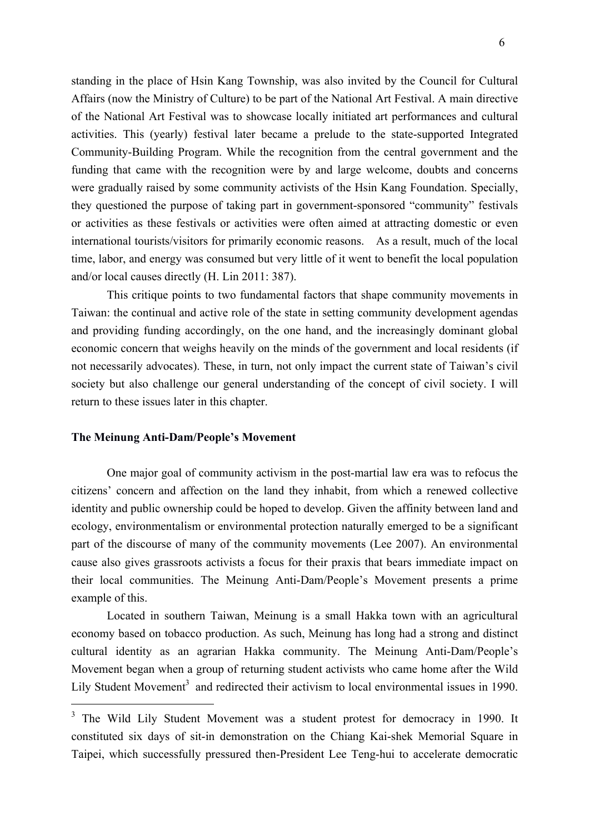standing in the place of Hsin Kang Township, was also invited by the Council for Cultural Affairs (now the Ministry of Culture) to be part of the National Art Festival. A main directive of the National Art Festival was to showcase locally initiated art performances and cultural activities. This (yearly) festival later became a prelude to the state-supported Integrated Community-Building Program. While the recognition from the central government and the funding that came with the recognition were by and large welcome, doubts and concerns were gradually raised by some community activists of the Hsin Kang Foundation. Specially, they questioned the purpose of taking part in government-sponsored "community" festivals or activities as these festivals or activities were often aimed at attracting domestic or even international tourists/visitors for primarily economic reasons. As a result, much of the local time, labor, and energy was consumed but very little of it went to benefit the local population and/or local causes directly (H. Lin 2011: 387).

This critique points to two fundamental factors that shape community movements in Taiwan: the continual and active role of the state in setting community development agendas and providing funding accordingly, on the one hand, and the increasingly dominant global economic concern that weighs heavily on the minds of the government and local residents (if not necessarily advocates). These, in turn, not only impact the current state of Taiwan's civil society but also challenge our general understanding of the concept of civil society. I will return to these issues later in this chapter.

#### **The Meinung Anti-Dam/People's Movement**

 $\overline{a}$ 

One major goal of community activism in the post-martial law era was to refocus the citizens' concern and affection on the land they inhabit, from which a renewed collective identity and public ownership could be hoped to develop. Given the affinity between land and ecology, environmentalism or environmental protection naturally emerged to be a significant part of the discourse of many of the community movements (Lee 2007). An environmental cause also gives grassroots activists a focus for their praxis that bears immediate impact on their local communities. The Meinung Anti-Dam/People's Movement presents a prime example of this.

Located in southern Taiwan, Meinung is a small Hakka town with an agricultural economy based on tobacco production. As such, Meinung has long had a strong and distinct cultural identity as an agrarian Hakka community. The Meinung Anti-Dam/People's Movement began when a group of returning student activists who came home after the Wild Lily Student Movement<sup>3</sup> and redirected their activism to local environmental issues in 1990.

<sup>&</sup>lt;sup>3</sup> The Wild Lily Student Movement was a student protest for democracy in 1990. It constituted six days of sit-in demonstration on the Chiang Kai-shek Memorial Square in Taipei, which successfully pressured then-President Lee Teng-hui to accelerate democratic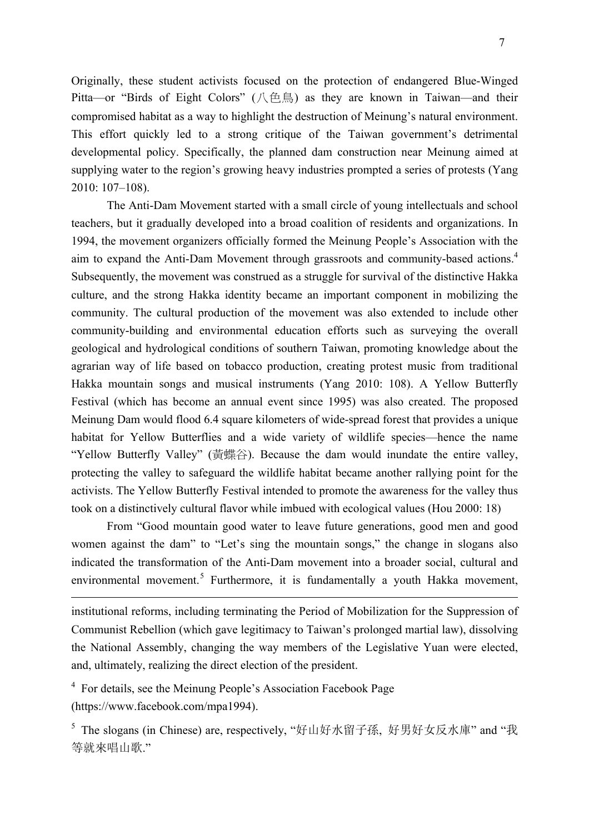Originally, these student activists focused on the protection of endangered Blue-Winged Pitta—or "Birds of Eight Colors" (八色鳥) as they are known in Taiwan—and their compromised habitat as a way to highlight the destruction of Meinung's natural environment. This effort quickly led to a strong critique of the Taiwan government's detrimental developmental policy. Specifically, the planned dam construction near Meinung aimed at supplying water to the region's growing heavy industries prompted a series of protests (Yang 2010: 107–108).

The Anti-Dam Movement started with a small circle of young intellectuals and school teachers, but it gradually developed into a broad coalition of residents and organizations. In 1994, the movement organizers officially formed the Meinung People's Association with the aim to expand the Anti-Dam Movement through grassroots and community-based actions.<sup>4</sup> Subsequently, the movement was construed as a struggle for survival of the distinctive Hakka culture, and the strong Hakka identity became an important component in mobilizing the community. The cultural production of the movement was also extended to include other community-building and environmental education efforts such as surveying the overall geological and hydrological conditions of southern Taiwan, promoting knowledge about the agrarian way of life based on tobacco production, creating protest music from traditional Hakka mountain songs and musical instruments (Yang 2010: 108). A Yellow Butterfly Festival (which has become an annual event since 1995) was also created. The proposed Meinung Dam would flood 6.4 square kilometers of wide-spread forest that provides a unique habitat for Yellow Butterflies and a wide variety of wildlife species—hence the name "Yellow Butterfly Valley" (黃蝶谷). Because the dam would inundate the entire valley, protecting the valley to safeguard the wildlife habitat became another rallying point for the activists. The Yellow Butterfly Festival intended to promote the awareness for the valley thus took on a distinctively cultural flavor while imbued with ecological values (Hou 2000: 18)

From "Good mountain good water to leave future generations, good men and good women against the dam" to "Let's sing the mountain songs," the change in slogans also indicated the transformation of the Anti-Dam movement into a broader social, cultural and environmental movement.<sup>5</sup> Furthermore, it is fundamentally a youth Hakka movement,

institutional reforms, including terminating the Period of Mobilization for the Suppression of Communist Rebellion (which gave legitimacy to Taiwan's prolonged martial law), dissolving the National Assembly, changing the way members of the Legislative Yuan were elected, and, ultimately, realizing the direct election of the president.

<sup>4</sup> For details, see the Meinung People's Association Facebook Page (https://www.facebook.com/mpa1994).

<sup>5</sup> The slogans (in Chinese) are, respectively, "好山好水留子孫, 好男好女反水庫" and "我 等就來唱山歌"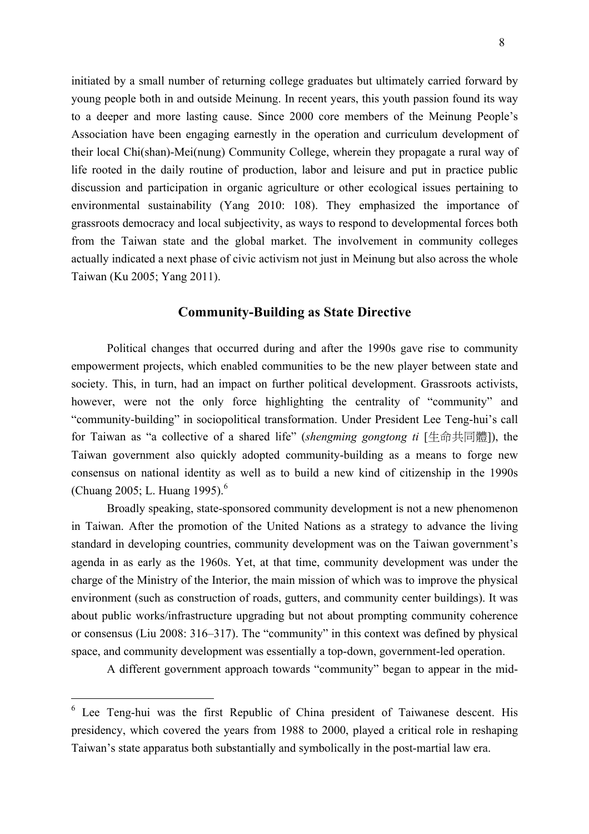initiated by a small number of returning college graduates but ultimately carried forward by young people both in and outside Meinung. In recent years, this youth passion found its way to a deeper and more lasting cause. Since 2000 core members of the Meinung People's Association have been engaging earnestly in the operation and curriculum development of their local Chi(shan)-Mei(nung) Community College, wherein they propagate a rural way of life rooted in the daily routine of production, labor and leisure and put in practice public discussion and participation in organic agriculture or other ecological issues pertaining to environmental sustainability (Yang 2010: 108). They emphasized the importance of grassroots democracy and local subjectivity, as ways to respond to developmental forces both from the Taiwan state and the global market. The involvement in community colleges actually indicated a next phase of civic activism not just in Meinung but also across the whole Taiwan (Ku 2005; Yang 2011).

## **Community-Building as State Directive**

Political changes that occurred during and after the 1990s gave rise to community empowerment projects, which enabled communities to be the new player between state and society. This, in turn, had an impact on further political development. Grassroots activists, however, were not the only force highlighting the centrality of "community" and "community-building" in sociopolitical transformation. Under President Lee Teng-hui's call for Taiwan as "a collective of a shared life" (*shengming gongtong ti* [生命共同體]), the Taiwan government also quickly adopted community-building as a means to forge new consensus on national identity as well as to build a new kind of citizenship in the 1990s (Chuang 2005; L. Huang 1995).<sup>6</sup>

Broadly speaking, state-sponsored community development is not a new phenomenon in Taiwan. After the promotion of the United Nations as a strategy to advance the living standard in developing countries, community development was on the Taiwan government's agenda in as early as the 1960s. Yet, at that time, community development was under the charge of the Ministry of the Interior, the main mission of which was to improve the physical environment (such as construction of roads, gutters, and community center buildings). It was about public works/infrastructure upgrading but not about prompting community coherence or consensus (Liu 2008: 316–317). The "community" in this context was defined by physical space, and community development was essentially a top-down, government-led operation.

A different government approach towards "community" began to appear in the mid-

<sup>6</sup> Lee Teng-hui was the first Republic of China president of Taiwanese descent. His presidency, which covered the years from 1988 to 2000, played a critical role in reshaping Taiwan's state apparatus both substantially and symbolically in the post-martial law era.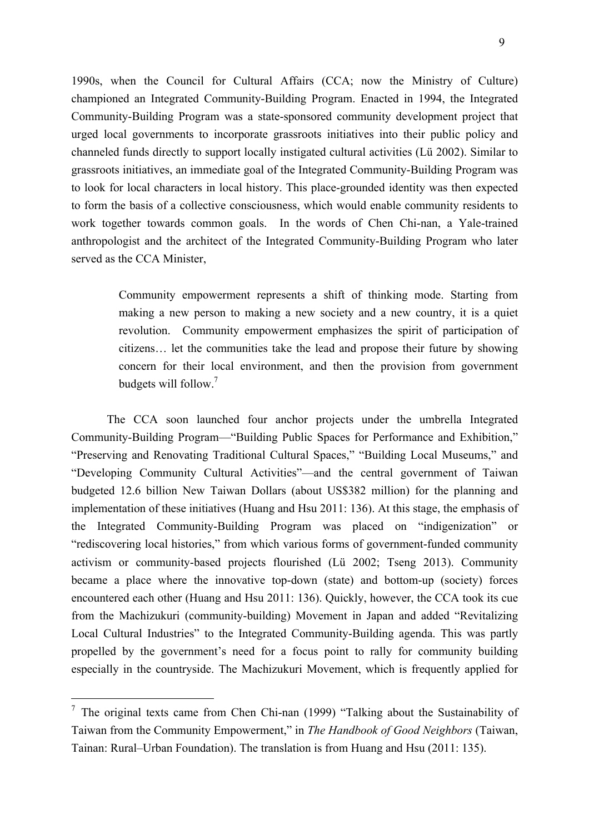1990s, when the Council for Cultural Affairs (CCA; now the Ministry of Culture) championed an Integrated Community-Building Program. Enacted in 1994, the Integrated Community-Building Program was a state-sponsored community development project that urged local governments to incorporate grassroots initiatives into their public policy and channeled funds directly to support locally instigated cultural activities (Lü 2002). Similar to grassroots initiatives, an immediate goal of the Integrated Community-Building Program was to look for local characters in local history. This place-grounded identity was then expected to form the basis of a collective consciousness, which would enable community residents to work together towards common goals. In the words of Chen Chi-nan, a Yale-trained anthropologist and the architect of the Integrated Community-Building Program who later served as the CCA Minister,

> Community empowerment represents a shift of thinking mode. Starting from making a new person to making a new society and a new country, it is a quiet revolution. Community empowerment emphasizes the spirit of participation of citizens… let the communities take the lead and propose their future by showing concern for their local environment, and then the provision from government budgets will follow.<sup>7</sup>

The CCA soon launched four anchor projects under the umbrella Integrated Community-Building Program—"Building Public Spaces for Performance and Exhibition," "Preserving and Renovating Traditional Cultural Spaces," "Building Local Museums," and "Developing Community Cultural Activities"—and the central government of Taiwan budgeted 12.6 billion New Taiwan Dollars (about US\$382 million) for the planning and implementation of these initiatives (Huang and Hsu 2011: 136). At this stage, the emphasis of the Integrated Community-Building Program was placed on "indigenization" or "rediscovering local histories," from which various forms of government-funded community activism or community-based projects flourished (Lü 2002; Tseng 2013). Community became a place where the innovative top-down (state) and bottom-up (society) forces encountered each other (Huang and Hsu 2011: 136). Quickly, however, the CCA took its cue from the Machizukuri (community-building) Movement in Japan and added "Revitalizing Local Cultural Industries" to the Integrated Community-Building agenda. This was partly propelled by the government's need for a focus point to rally for community building especially in the countryside. The Machizukuri Movement, which is frequently applied for

 $<sup>7</sup>$  The original texts came from Chen Chi-nan (1999) "Talking about the Sustainability of</sup> Taiwan from the Community Empowerment," in *The Handbook of Good Neighbors* (Taiwan, Tainan: Rural–Urban Foundation). The translation is from Huang and Hsu (2011: 135).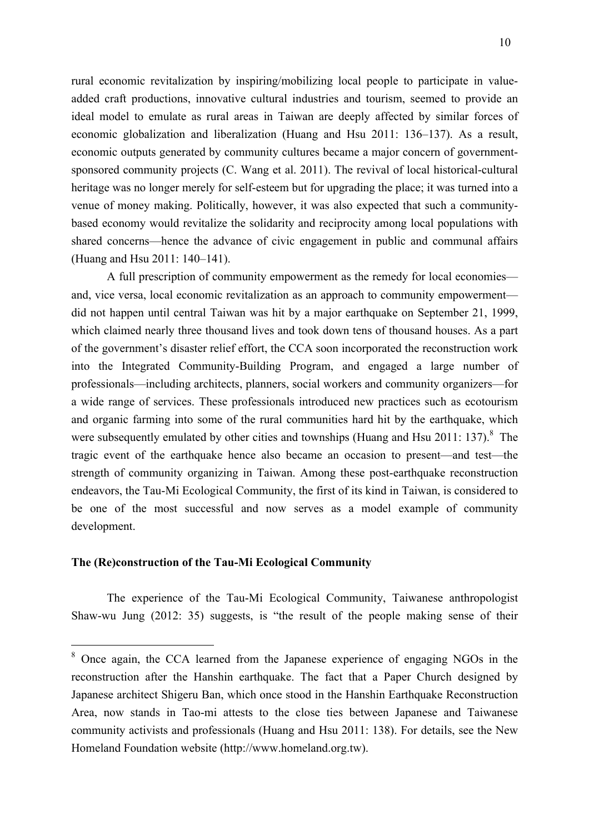rural economic revitalization by inspiring/mobilizing local people to participate in valueadded craft productions, innovative cultural industries and tourism, seemed to provide an ideal model to emulate as rural areas in Taiwan are deeply affected by similar forces of economic globalization and liberalization (Huang and Hsu 2011: 136–137). As a result, economic outputs generated by community cultures became a major concern of governmentsponsored community projects (C. Wang et al. 2011). The revival of local historical-cultural heritage was no longer merely for self-esteem but for upgrading the place; it was turned into a venue of money making. Politically, however, it was also expected that such a communitybased economy would revitalize the solidarity and reciprocity among local populations with shared concerns—hence the advance of civic engagement in public and communal affairs (Huang and Hsu 2011: 140–141).

A full prescription of community empowerment as the remedy for local economies and, vice versa, local economic revitalization as an approach to community empowerment did not happen until central Taiwan was hit by a major earthquake on September 21, 1999, which claimed nearly three thousand lives and took down tens of thousand houses. As a part of the government's disaster relief effort, the CCA soon incorporated the reconstruction work into the Integrated Community-Building Program, and engaged a large number of professionals—including architects, planners, social workers and community organizers—for a wide range of services. These professionals introduced new practices such as ecotourism and organic farming into some of the rural communities hard hit by the earthquake, which were subsequently emulated by other cities and townships (Huang and Hsu 2011: 137). $8$  The tragic event of the earthquake hence also became an occasion to present—and test—the strength of community organizing in Taiwan. Among these post-earthquake reconstruction endeavors, the Tau-Mi Ecological Community, the first of its kind in Taiwan, is considered to be one of the most successful and now serves as a model example of community development.

#### **The (Re)construction of the Tau-Mi Ecological Community**

 $\overline{a}$ 

The experience of the Tau-Mi Ecological Community, Taiwanese anthropologist Shaw-wu Jung (2012: 35) suggests, is "the result of the people making sense of their

<sup>8</sup> Once again, the CCA learned from the Japanese experience of engaging NGOs in the reconstruction after the Hanshin earthquake. The fact that a Paper Church designed by Japanese architect Shigeru Ban, which once stood in the Hanshin Earthquake Reconstruction Area, now stands in Tao-mi attests to the close ties between Japanese and Taiwanese community activists and professionals (Huang and Hsu 2011: 138). For details, see the New Homeland Foundation website (http://www.homeland.org.tw).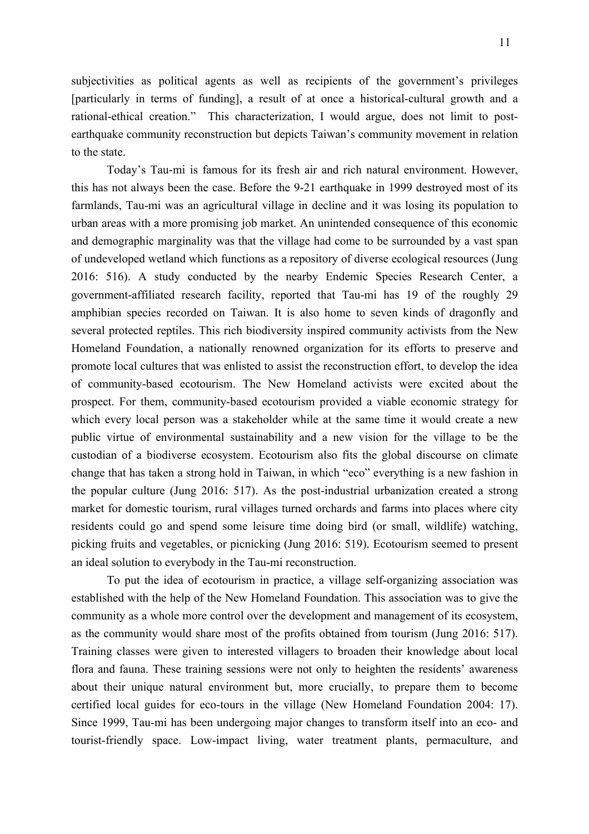subjectivities as political agents as well as recipients of the government's privileges [particularly in terms of funding], a result of at once a historical-cultural growth and a rational-ethical creation." This characterization, I would argue, does not limit to postearthquake community reconstruction but depicts Taiwan's community movement in relation to the state.

Today's Tau-mi is famous for its fresh air and rich natural environment. However, this has not always been the case. Before the 9-21 earthquake in 1999 destroyed most of its farmlands, Tau-mi was an agricultural village in decline and it was losing its population to urban areas with a more promising job market. An unintended consequence of this economic and demographic marginality was that the village had come to be surrounded by a vast span of undeveloped wetland which functions as a repository of diverse ecological resources (Jung 2016: 516). A study conducted by the nearby Endemic Species Research Center, a government-affiliated research facility, reported that Tau-mi has 19 of the roughly 29 amphibian species recorded on Taiwan. It is also home to seven kinds of dragonfly and several protected reptiles. This rich biodiversity inspired community activists from the New Homeland Foundation, a nationally renowned organization for its efforts to preserve and promote local cultures that was enlisted to assist the reconstruction effort, to develop the idea of community-based ecotourism. The New Homeland activists were excited about the prospect. For them, community-based ecotourism provided a viable economic strategy for which every local person was a stakeholder while at the same time it would create a new public virtue of environmental sustainability and a new vision for the village to be the custodian of a biodiverse ecosystem. Ecotourism also fits the global discourse on climate change that has taken a strong hold in Taiwan, in which "eco" everything is a new fashion in the popular culture (Jung 2016: 517). As the post-industrial urbanization created a strong market for domestic tourism, rural villages turned orchards and farms into places where city residents could go and spend some leisure time doing bird (or small, wildlife) watching, picking fruits and vegetables, or picnicking (Jung 2016: 519). Ecotourism seemed to present an ideal solution to everybody in the Tau-mi reconstruction.

To put the idea of ecotourism in practice, a village self-organizing association was established with the help of the New Homeland Foundation. This association was to give the community as a whole more control over the development and management of its ecosystem, as the community would share most of the profits obtained from tourism (Jung 2016: 517). Training classes were given to interested villagers to broaden their knowledge about local flora and fauna. These training sessions were not only to heighten the residents' awareness about their unique natural environment but, more crucially, to prepare them to become certified local guides for eco-tours in the village (New Homeland Foundation 2004: 17). Since 1999, Tau-mi has been undergoing major changes to transform itself into an eco- and tourist-friendly space. Low-impact living, water treatment plants, permaculture, and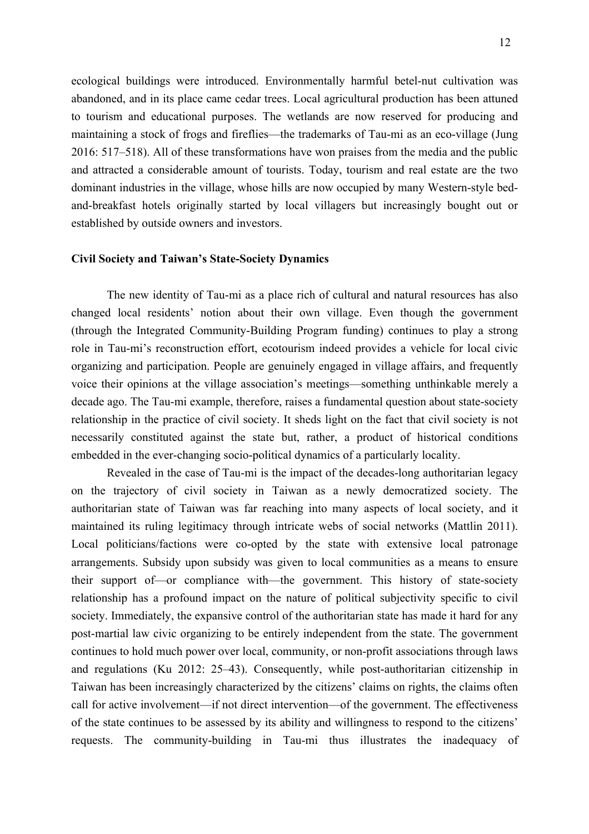ecological buildings were introduced. Environmentally harmful betel-nut cultivation was abandoned, and in its place came cedar trees. Local agricultural production has been attuned to tourism and educational purposes. The wetlands are now reserved for producing and maintaining a stock of frogs and fireflies—the trademarks of Tau-mi as an eco-village (Jung 2016: 517–518). All of these transformations have won praises from the media and the public and attracted a considerable amount of tourists. Today, tourism and real estate are the two dominant industries in the village, whose hills are now occupied by many Western-style bedand-breakfast hotels originally started by local villagers but increasingly bought out or established by outside owners and investors.

#### **Civil Society and Taiwan's State-Society Dynamics**

The new identity of Tau-mi as a place rich of cultural and natural resources has also changed local residents' notion about their own village. Even though the government (through the Integrated Community-Building Program funding) continues to play a strong role in Tau-mi's reconstruction effort, ecotourism indeed provides a vehicle for local civic organizing and participation. People are genuinely engaged in village affairs, and frequently voice their opinions at the village association's meetings—something unthinkable merely a decade ago. The Tau-mi example, therefore, raises a fundamental question about state-society relationship in the practice of civil society. It sheds light on the fact that civil society is not necessarily constituted against the state but, rather, a product of historical conditions embedded in the ever-changing socio-political dynamics of a particularly locality.

Revealed in the case of Tau-mi is the impact of the decades-long authoritarian legacy on the trajectory of civil society in Taiwan as a newly democratized society. The authoritarian state of Taiwan was far reaching into many aspects of local society, and it maintained its ruling legitimacy through intricate webs of social networks (Mattlin 2011). Local politicians/factions were co-opted by the state with extensive local patronage arrangements. Subsidy upon subsidy was given to local communities as a means to ensure their support of—or compliance with—the government. This history of state-society relationship has a profound impact on the nature of political subjectivity specific to civil society. Immediately, the expansive control of the authoritarian state has made it hard for any post-martial law civic organizing to be entirely independent from the state. The government continues to hold much power over local, community, or non-profit associations through laws and regulations (Ku 2012: 25–43). Consequently, while post-authoritarian citizenship in Taiwan has been increasingly characterized by the citizens' claims on rights, the claims often call for active involvement—if not direct intervention—of the government. The effectiveness of the state continues to be assessed by its ability and willingness to respond to the citizens' requests. The community-building in Tau-mi thus illustrates the inadequacy of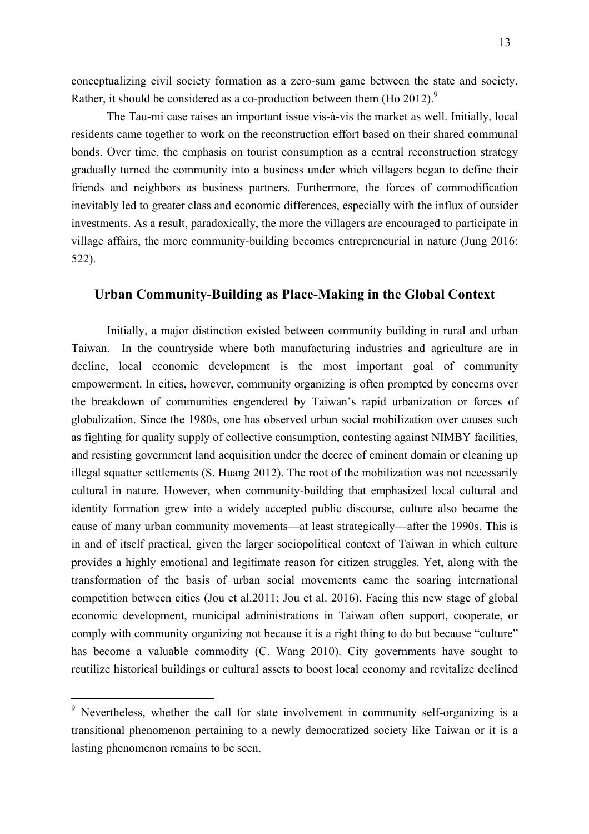conceptualizing civil society formation as a zero-sum game between the state and society. Rather, it should be considered as a co-production between them (Ho 2012).<sup>9</sup>

The Tau-mi case raises an important issue vis-à-vis the market as well. Initially, local residents came together to work on the reconstruction effort based on their shared communal bonds. Over time, the emphasis on tourist consumption as a central reconstruction strategy gradually turned the community into a business under which villagers began to define their friends and neighbors as business partners. Furthermore, the forces of commodification inevitably led to greater class and economic differences, especially with the influx of outsider investments. As a result, paradoxically, the more the villagers are encouraged to participate in village affairs, the more community-building becomes entrepreneurial in nature (Jung 2016: 522).

## **Urban Community-Building as Place-Making in the Global Context**

Initially, a major distinction existed between community building in rural and urban Taiwan. In the countryside where both manufacturing industries and agriculture are in decline, local economic development is the most important goal of community empowerment. In cities, however, community organizing is often prompted by concerns over the breakdown of communities engendered by Taiwan's rapid urbanization or forces of globalization. Since the 1980s, one has observed urban social mobilization over causes such as fighting for quality supply of collective consumption, contesting against NIMBY facilities, and resisting government land acquisition under the decree of eminent domain or cleaning up illegal squatter settlements (S. Huang 2012). The root of the mobilization was not necessarily cultural in nature. However, when community-building that emphasized local cultural and identity formation grew into a widely accepted public discourse, culture also became the cause of many urban community movements—at least strategically—after the 1990s. This is in and of itself practical, given the larger sociopolitical context of Taiwan in which culture provides a highly emotional and legitimate reason for citizen struggles. Yet, along with the transformation of the basis of urban social movements came the soaring international competition between cities (Jou et al.2011; Jou et al. 2016). Facing this new stage of global economic development, municipal administrations in Taiwan often support, cooperate, or comply with community organizing not because it is a right thing to do but because "culture" has become a valuable commodity (C. Wang 2010). City governments have sought to reutilize historical buildings or cultural assets to boost local economy and revitalize declined

<sup>&</sup>lt;sup>9</sup> Nevertheless, whether the call for state involvement in community self-organizing is a transitional phenomenon pertaining to a newly democratized society like Taiwan or it is a lasting phenomenon remains to be seen.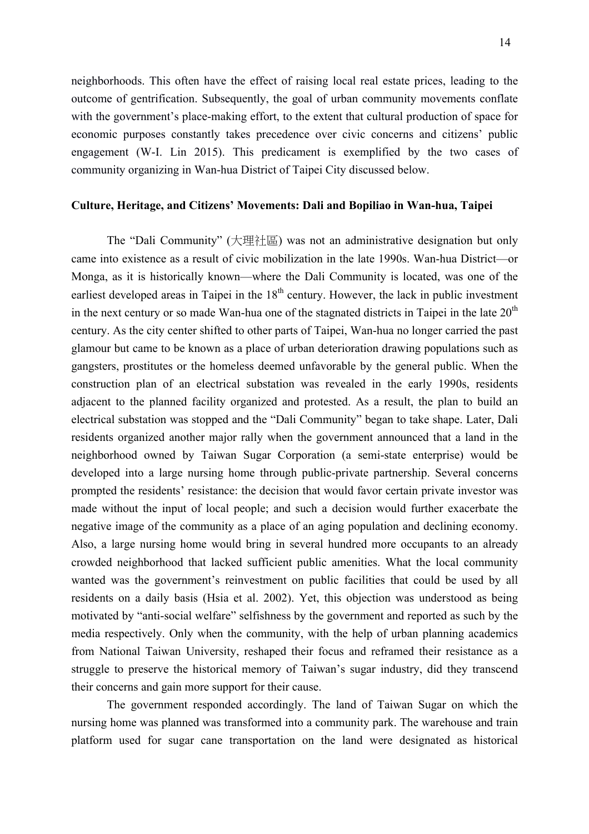14

neighborhoods. This often have the effect of raising local real estate prices, leading to the outcome of gentrification. Subsequently, the goal of urban community movements conflate with the government's place-making effort, to the extent that cultural production of space for economic purposes constantly takes precedence over civic concerns and citizens' public engagement (W-I. Lin 2015). This predicament is exemplified by the two cases of community organizing in Wan-hua District of Taipei City discussed below.

## **Culture, Heritage, and Citizens' Movements: Dali and Bopiliao in Wan-hua, Taipei**

The "Dali Community" (大理社區) was not an administrative designation but only came into existence as a result of civic mobilization in the late 1990s. Wan-hua District—or Monga, as it is historically known—where the Dali Community is located, was one of the earliest developed areas in Taipei in the  $18<sup>th</sup>$  century. However, the lack in public investment in the next century or so made Wan-hua one of the stagnated districts in Taipei in the late  $20<sup>th</sup>$ century. As the city center shifted to other parts of Taipei, Wan-hua no longer carried the past glamour but came to be known as a place of urban deterioration drawing populations such as gangsters, prostitutes or the homeless deemed unfavorable by the general public. When the construction plan of an electrical substation was revealed in the early 1990s, residents adjacent to the planned facility organized and protested. As a result, the plan to build an electrical substation was stopped and the "Dali Community" began to take shape. Later, Dali residents organized another major rally when the government announced that a land in the neighborhood owned by Taiwan Sugar Corporation (a semi-state enterprise) would be developed into a large nursing home through public-private partnership. Several concerns prompted the residents' resistance: the decision that would favor certain private investor was made without the input of local people; and such a decision would further exacerbate the negative image of the community as a place of an aging population and declining economy. Also, a large nursing home would bring in several hundred more occupants to an already crowded neighborhood that lacked sufficient public amenities. What the local community wanted was the government's reinvestment on public facilities that could be used by all residents on a daily basis (Hsia et al. 2002). Yet, this objection was understood as being motivated by "anti-social welfare" selfishness by the government and reported as such by the media respectively. Only when the community, with the help of urban planning academics from National Taiwan University, reshaped their focus and reframed their resistance as a struggle to preserve the historical memory of Taiwan's sugar industry, did they transcend their concerns and gain more support for their cause.

The government responded accordingly. The land of Taiwan Sugar on which the nursing home was planned was transformed into a community park. The warehouse and train platform used for sugar cane transportation on the land were designated as historical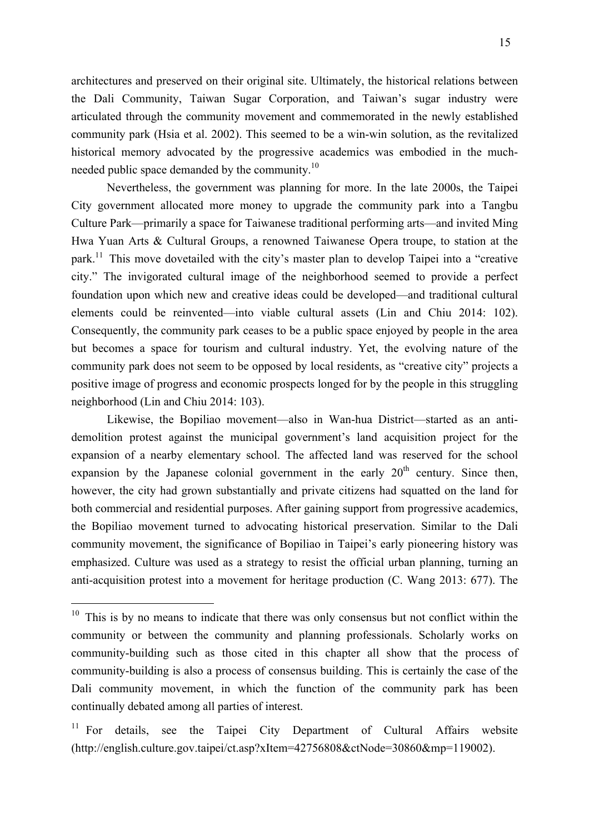architectures and preserved on their original site. Ultimately, the historical relations between the Dali Community, Taiwan Sugar Corporation, and Taiwan's sugar industry were articulated through the community movement and commemorated in the newly established community park (Hsia et al. 2002). This seemed to be a win-win solution, as the revitalized historical memory advocated by the progressive academics was embodied in the muchneeded public space demanded by the community.<sup>10</sup>

Nevertheless, the government was planning for more. In the late 2000s, the Taipei City government allocated more money to upgrade the community park into a Tangbu Culture Park—primarily a space for Taiwanese traditional performing arts—and invited Ming Hwa Yuan Arts & Cultural Groups, a renowned Taiwanese Opera troupe, to station at the park.<sup>11</sup> This move dovetailed with the city's master plan to develop Taipei into a "creative" city." The invigorated cultural image of the neighborhood seemed to provide a perfect foundation upon which new and creative ideas could be developed—and traditional cultural elements could be reinvented—into viable cultural assets (Lin and Chiu 2014: 102). Consequently, the community park ceases to be a public space enjoyed by people in the area but becomes a space for tourism and cultural industry. Yet, the evolving nature of the community park does not seem to be opposed by local residents, as "creative city" projects a positive image of progress and economic prospects longed for by the people in this struggling neighborhood (Lin and Chiu 2014: 103).

Likewise, the Bopiliao movement—also in Wan-hua District—started as an antidemolition protest against the municipal government's land acquisition project for the expansion of a nearby elementary school. The affected land was reserved for the school expansion by the Japanese colonial government in the early  $20<sup>th</sup>$  century. Since then, however, the city had grown substantially and private citizens had squatted on the land for both commercial and residential purposes. After gaining support from progressive academics, the Bopiliao movement turned to advocating historical preservation. Similar to the Dali community movement, the significance of Bopiliao in Taipei's early pioneering history was emphasized. Culture was used as a strategy to resist the official urban planning, turning an anti-acquisition protest into a movement for heritage production (C. Wang 2013: 677). The

<sup>&</sup>lt;sup>10</sup> This is by no means to indicate that there was only consensus but not conflict within the community or between the community and planning professionals. Scholarly works on community-building such as those cited in this chapter all show that the process of community-building is also a process of consensus building. This is certainly the case of the Dali community movement, in which the function of the community park has been continually debated among all parties of interest.

<sup>&</sup>lt;sup>11</sup> For details, see the Taipei City Department of Cultural Affairs website (http://english.culture.gov.taipei/ct.asp?xItem=42756808&ctNode=30860&mp=119002).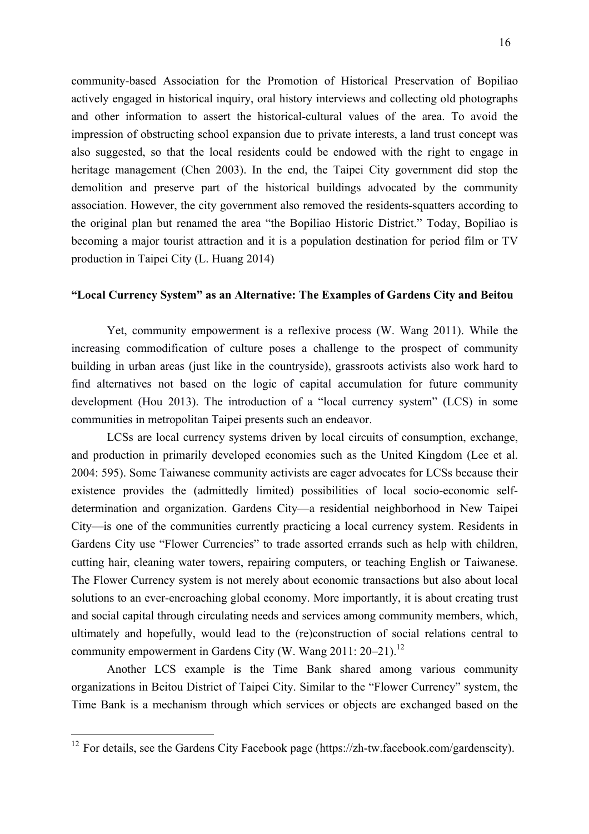community-based Association for the Promotion of Historical Preservation of Bopiliao actively engaged in historical inquiry, oral history interviews and collecting old photographs and other information to assert the historical-cultural values of the area. To avoid the impression of obstructing school expansion due to private interests, a land trust concept was also suggested, so that the local residents could be endowed with the right to engage in heritage management (Chen 2003). In the end, the Taipei City government did stop the demolition and preserve part of the historical buildings advocated by the community association. However, the city government also removed the residents-squatters according to the original plan but renamed the area "the Bopiliao Historic District." Today, Bopiliao is becoming a major tourist attraction and it is a population destination for period film or TV production in Taipei City (L. Huang 2014)

## **"Local Currency System" as an Alternative: The Examples of Gardens City and Beitou**

Yet, community empowerment is a reflexive process (W. Wang 2011). While the increasing commodification of culture poses a challenge to the prospect of community building in urban areas (just like in the countryside), grassroots activists also work hard to find alternatives not based on the logic of capital accumulation for future community development (Hou 2013). The introduction of a "local currency system" (LCS) in some communities in metropolitan Taipei presents such an endeavor.

LCSs are local currency systems driven by local circuits of consumption, exchange, and production in primarily developed economies such as the United Kingdom (Lee et al. 2004: 595). Some Taiwanese community activists are eager advocates for LCSs because their existence provides the (admittedly limited) possibilities of local socio-economic selfdetermination and organization. Gardens City—a residential neighborhood in New Taipei City—is one of the communities currently practicing a local currency system. Residents in Gardens City use "Flower Currencies" to trade assorted errands such as help with children, cutting hair, cleaning water towers, repairing computers, or teaching English or Taiwanese. The Flower Currency system is not merely about economic transactions but also about local solutions to an ever-encroaching global economy. More importantly, it is about creating trust and social capital through circulating needs and services among community members, which, ultimately and hopefully, would lead to the (re)construction of social relations central to community empowerment in Gardens City (W. Wang 2011: 20–21).<sup>12</sup>

Another LCS example is the Time Bank shared among various community organizations in Beitou District of Taipei City. Similar to the "Flower Currency" system, the Time Bank is a mechanism through which services or objects are exchanged based on the

<sup>&</sup>lt;sup>12</sup> For details, see the Gardens City Facebook page (https://zh-tw.facebook.com/gardenscity).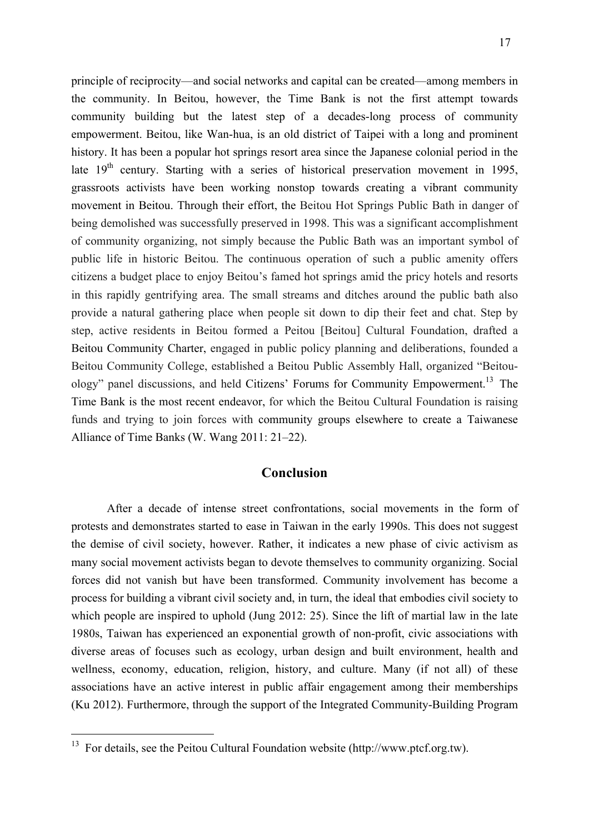principle of reciprocity—and social networks and capital can be created—among members in the community. In Beitou, however, the Time Bank is not the first attempt towards community building but the latest step of a decades-long process of community empowerment. Beitou, like Wan-hua, is an old district of Taipei with a long and prominent history. It has been a popular hot springs resort area since the Japanese colonial period in the late  $19<sup>th</sup>$  century. Starting with a series of historical preservation movement in 1995, grassroots activists have been working nonstop towards creating a vibrant community movement in Beitou. Through their effort, the Beitou Hot Springs Public Bath in danger of being demolished was successfully preserved in 1998. This was a significant accomplishment of community organizing, not simply because the Public Bath was an important symbol of public life in historic Beitou. The continuous operation of such a public amenity offers citizens a budget place to enjoy Beitou's famed hot springs amid the pricy hotels and resorts in this rapidly gentrifying area. The small streams and ditches around the public bath also provide a natural gathering place when people sit down to dip their feet and chat. Step by step, active residents in Beitou formed a Peitou [Beitou] Cultural Foundation, drafted a Beitou Community Charter, engaged in public policy planning and deliberations, founded a Beitou Community College, established a Beitou Public Assembly Hall, organized "Beitouology" panel discussions, and held Citizens' Forums for Community Empowerment.<sup>13</sup> The Time Bank is the most recent endeavor, for which the Beitou Cultural Foundation is raising funds and trying to join forces with community groups elsewhere to create a Taiwanese Alliance of Time Banks (W. Wang 2011: 21–22).

## **Conclusion**

After a decade of intense street confrontations, social movements in the form of protests and demonstrates started to ease in Taiwan in the early 1990s. This does not suggest the demise of civil society, however. Rather, it indicates a new phase of civic activism as many social movement activists began to devote themselves to community organizing. Social forces did not vanish but have been transformed. Community involvement has become a process for building a vibrant civil society and, in turn, the ideal that embodies civil society to which people are inspired to uphold (Jung 2012: 25). Since the lift of martial law in the late 1980s, Taiwan has experienced an exponential growth of non-profit, civic associations with diverse areas of focuses such as ecology, urban design and built environment, health and wellness, economy, education, religion, history, and culture. Many (if not all) of these associations have an active interest in public affair engagement among their memberships (Ku 2012). Furthermore, through the support of the Integrated Community-Building Program

<sup>13</sup> For details, see the Peitou Cultural Foundation website (http://www.ptcf.org.tw).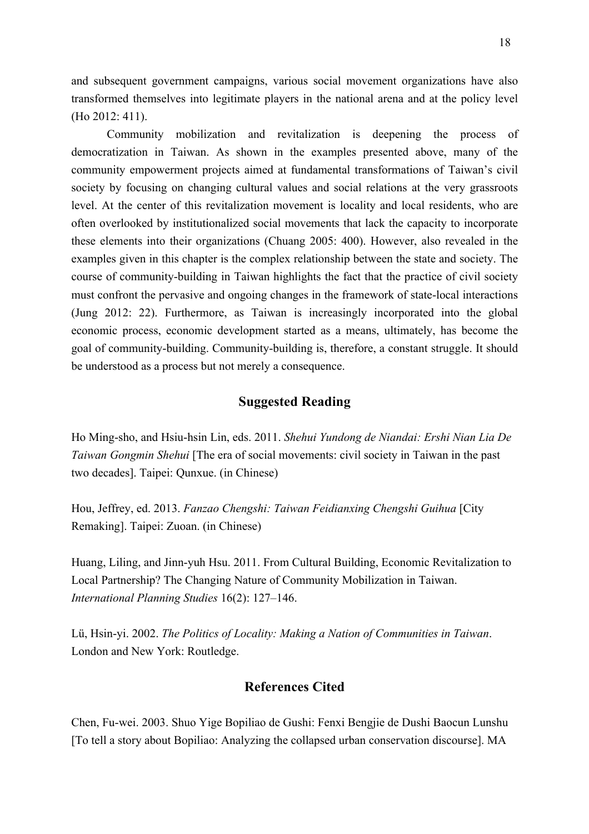and subsequent government campaigns, various social movement organizations have also transformed themselves into legitimate players in the national arena and at the policy level (Ho 2012: 411).

Community mobilization and revitalization is deepening the process of democratization in Taiwan. As shown in the examples presented above, many of the community empowerment projects aimed at fundamental transformations of Taiwan's civil society by focusing on changing cultural values and social relations at the very grassroots level. At the center of this revitalization movement is locality and local residents, who are often overlooked by institutionalized social movements that lack the capacity to incorporate these elements into their organizations (Chuang 2005: 400). However, also revealed in the examples given in this chapter is the complex relationship between the state and society. The course of community-building in Taiwan highlights the fact that the practice of civil society must confront the pervasive and ongoing changes in the framework of state-local interactions (Jung 2012: 22). Furthermore, as Taiwan is increasingly incorporated into the global economic process, economic development started as a means, ultimately, has become the goal of community-building. Community-building is, therefore, a constant struggle. It should be understood as a process but not merely a consequence.

## **Suggested Reading**

Ho Ming-sho, and Hsiu-hsin Lin, eds. 2011. *Shehui Yundong de Niandai: Ershi Nian Lia De Taiwan Gongmin Shehui* [The era of social movements: civil society in Taiwan in the past two decades]. Taipei: Qunxue. (in Chinese)

Hou, Jeffrey, ed. 2013. *Fanzao Chengshi: Taiwan Feidianxing Chengshi Guihua* [City Remaking]. Taipei: Zuoan. (in Chinese)

Huang, Liling, and Jinn-yuh Hsu. 2011. From Cultural Building, Economic Revitalization to Local Partnership? The Changing Nature of Community Mobilization in Taiwan. *International Planning Studies* 16(2): 127–146.

Lü, Hsin-yi. 2002. *The Politics of Locality: Making a Nation of Communities in Taiwan*. London and New York: Routledge.

## **References Cited**

Chen, Fu-wei. 2003. Shuo Yige Bopiliao de Gushi: Fenxi Bengjie de Dushi Baocun Lunshu [To tell a story about Bopiliao: Analyzing the collapsed urban conservation discourse]. MA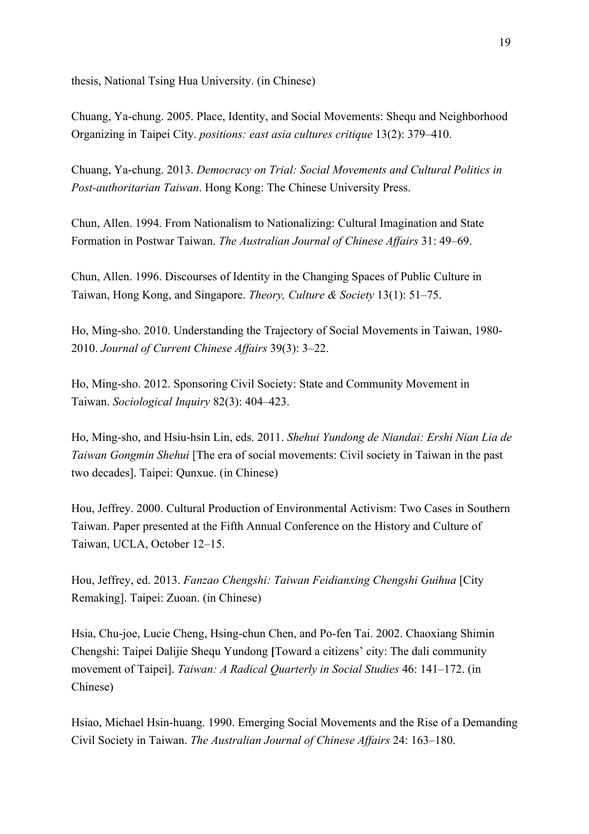thesis, National Tsing Hua University. (in Chinese)

Chuang, Ya-chung. 2005. Place, Identity, and Social Movements: Shequ and Neighborhood Organizing in Taipei City. *positions: east asia cultures critique* 13(2): 379–410.

Chuang, Ya-chung. 2013. *Democracy on Trial: Social Movements and Cultural Politics in Post-authoritarian Taiwan*. Hong Kong: The Chinese University Press.

Chun, Allen. 1994. From Nationalism to Nationalizing: Cultural Imagination and State Formation in Postwar Taiwan. *The Australian Journal of Chinese Affairs* 31: 49–69.

Chun, Allen. 1996. Discourses of Identity in the Changing Spaces of Public Culture in Taiwan, Hong Kong, and Singapore. *Theory, Culture & Society* 13(1): 51–75.

Ho, Ming-sho. 2010. Understanding the Trajectory of Social Movements in Taiwan, 1980- 2010. *Journal of Current Chinese Affairs* 39(3): 3–22.

Ho, Ming-sho. 2012. Sponsoring Civil Society: State and Community Movement in Taiwan. *Sociological Inquiry* 82(3): 404–423.

Ho, Ming-sho, and Hsiu-hsin Lin, eds. 2011. *Shehui Yundong de Niandai: Ershi Nian Lia de Taiwan Gongmin Shehui* [The era of social movements: Civil society in Taiwan in the past two decades]. Taipei: Qunxue. (in Chinese)

Hou, Jeffrey. 2000. Cultural Production of Environmental Activism: Two Cases in Southern Taiwan. Paper presented at the Fifth Annual Conference on the History and Culture of Taiwan, UCLA, October 12–15.

Hou, Jeffrey, ed. 2013. *Fanzao Chengshi: Taiwan Feidianxing Chengshi Guihua* [City Remaking]. Taipei: Zuoan. (in Chinese)

Hsia, Chu-joe, Lucie Cheng, Hsing-chun Chen, and Po-fen Tai. 2002. Chaoxiang Shimin Chengshi: Taipei Dalijie Shequ Yundong **[**Toward a citizens' city: The dali community movement of Taipei]. *Taiwan: A Radical Quarterly in Social Studies* 46: 141–172. (in Chinese)

Hsiao, Michael Hsin-huang. 1990. Emerging Social Movements and the Rise of a Demanding Civil Society in Taiwan. *The Australian Journal of Chinese Affairs* 24: 163–180.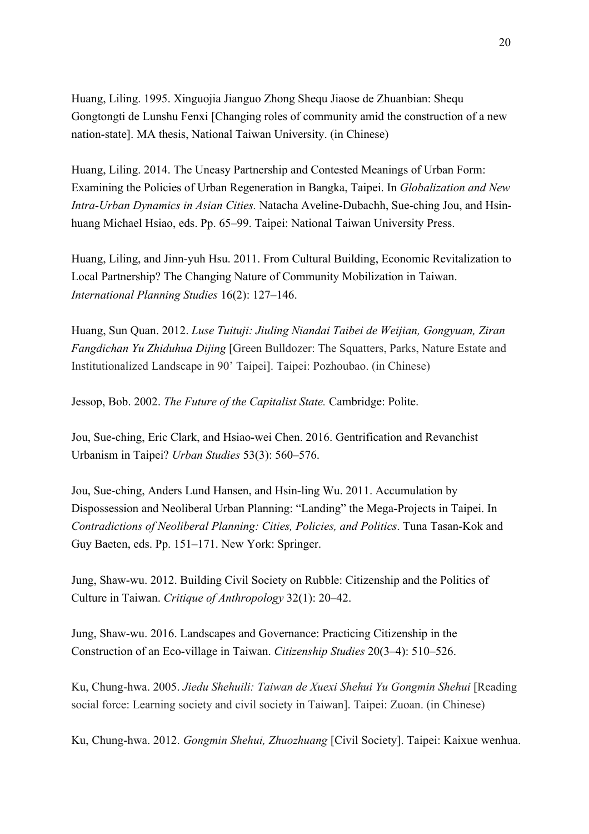Huang, Liling. 1995. Xinguojia Jianguo Zhong Shequ Jiaose de Zhuanbian: Shequ Gongtongti de Lunshu Fenxi [Changing roles of community amid the construction of a new nation-state]. MA thesis, National Taiwan University. (in Chinese)

Huang, Liling. 2014. The Uneasy Partnership and Contested Meanings of Urban Form: Examining the Policies of Urban Regeneration in Bangka, Taipei. In *Globalization and New Intra-Urban Dynamics in Asian Cities.* Natacha Aveline-Dubachh, Sue-ching Jou, and Hsinhuang Michael Hsiao, eds. Pp. 65–99. Taipei: National Taiwan University Press.

Huang, Liling, and Jinn-yuh Hsu. 2011. From Cultural Building, Economic Revitalization to Local Partnership? The Changing Nature of Community Mobilization in Taiwan. *International Planning Studies* 16(2): 127–146.

Huang, Sun Quan. 2012. *Luse Tuituji: Jiuling Niandai Taibei de Weijian, Gongyuan, Ziran Fangdichan Yu Zhiduhua Dijing* [Green Bulldozer: The Squatters, Parks, Nature Estate and Institutionalized Landscape in 90' Taipei]. Taipei: Pozhoubao. (in Chinese)

Jessop, Bob. 2002. *The Future of the Capitalist State.* Cambridge: Polite.

Jou, Sue-ching, Eric Clark, and Hsiao-wei Chen. 2016. Gentrification and Revanchist Urbanism in Taipei? *Urban Studies* 53(3): 560–576.

Jou, Sue-ching, Anders Lund Hansen, and Hsin-ling Wu. 2011. Accumulation by Dispossession and Neoliberal Urban Planning: "Landing" the Mega-Projects in Taipei. In *Contradictions of Neoliberal Planning: Cities, Policies, and Politics*. Tuna Tasan-Kok and Guy Baeten, eds. Pp. 151–171. New York: Springer.

Jung, Shaw-wu. 2012. Building Civil Society on Rubble: Citizenship and the Politics of Culture in Taiwan. *Critique of Anthropology* 32(1): 20–42.

Jung, Shaw-wu. 2016. Landscapes and Governance: Practicing Citizenship in the Construction of an Eco-village in Taiwan. *Citizenship Studies* 20(3–4): 510–526.

Ku, Chung-hwa. 2005. *Jiedu Shehuili: Taiwan de Xuexi Shehui Yu Gongmin Shehui* [Reading social force: Learning society and civil society in Taiwan]. Taipei: Zuoan. (in Chinese)

Ku, Chung-hwa. 2012. *Gongmin Shehui, Zhuozhuang* [Civil Society]. Taipei: Kaixue wenhua.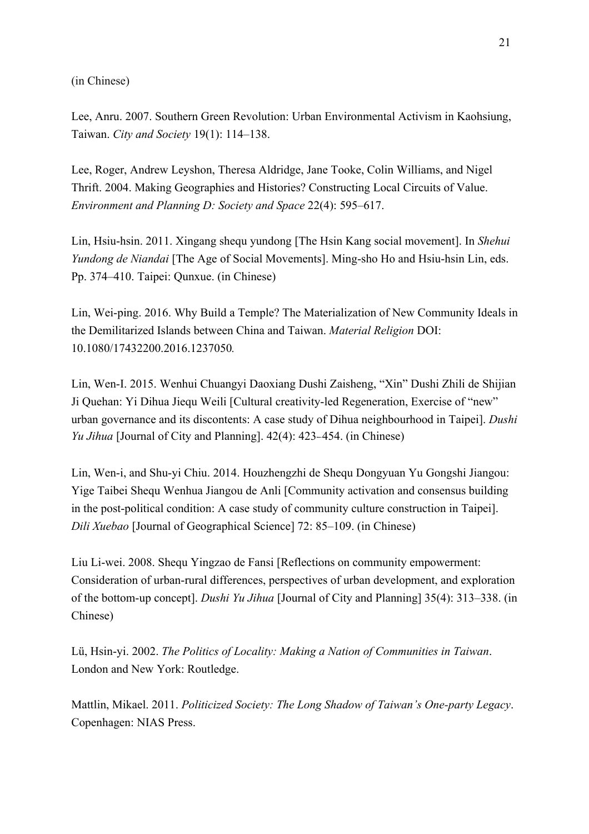(in Chinese)

Lee, Anru. 2007. Southern Green Revolution: Urban Environmental Activism in Kaohsiung, Taiwan. *City and Society* 19(1): 114–138.

Lee, Roger, Andrew Leyshon, Theresa Aldridge, Jane Tooke, Colin Williams, and Nigel Thrift. 2004. Making Geographies and Histories? Constructing Local Circuits of Value. *Environment and Planning D: Society and Space* 22(4): 595–617.

Lin, Hsiu-hsin. 2011. Xingang shequ yundong [The Hsin Kang social movement]. In *Shehui Yundong de Niandai* [The Age of Social Movements]. Ming-sho Ho and Hsiu-hsin Lin, eds. Pp. 374–410. Taipei: Qunxue. (in Chinese)

Lin, Wei-ping. 2016. Why Build a Temple? The Materialization of New Community Ideals in the Demilitarized Islands between China and Taiwan. *Material Religion* DOI: 10.1080/17432200.2016.1237050*.*

Lin, Wen-I. 2015. Wenhui Chuangyi Daoxiang Dushi Zaisheng, "Xin" Dushi Zhili de Shijian Ji Quehan: Yi Dihua Jiequ Weili [Cultural creativity-led Regeneration, Exercise of "new" urban governance and its discontents: A case study of Dihua neighbourhood in Taipei]. *Dushi Yu Jihua* [Journal of City and Planning]. 42(4): 423**–**454. (in Chinese)

Lin, Wen-i, and Shu-yi Chiu. 2014. Houzhengzhi de Shequ Dongyuan Yu Gongshi Jiangou: Yige Taibei Shequ Wenhua Jiangou de Anli [Community activation and consensus building in the post-political condition: A case study of community culture construction in Taipei]. *Dili Xuebao* [Journal of Geographical Science] 72: 85–109. (in Chinese)

Liu Li-wei. 2008. Shequ Yingzao de Fansi [Reflections on community empowerment: Consideration of urban-rural differences, perspectives of urban development, and exploration of the bottom-up concept]. *Dushi Yu Jihua* [Journal of City and Planning] 35(4): 313–338. (in Chinese)

Lü, Hsin-yi. 2002. *The Politics of Locality: Making a Nation of Communities in Taiwan*. London and New York: Routledge.

Mattlin, Mikael. 2011. *Politicized Society: The Long Shadow of Taiwan's One-party Legacy*. Copenhagen: NIAS Press.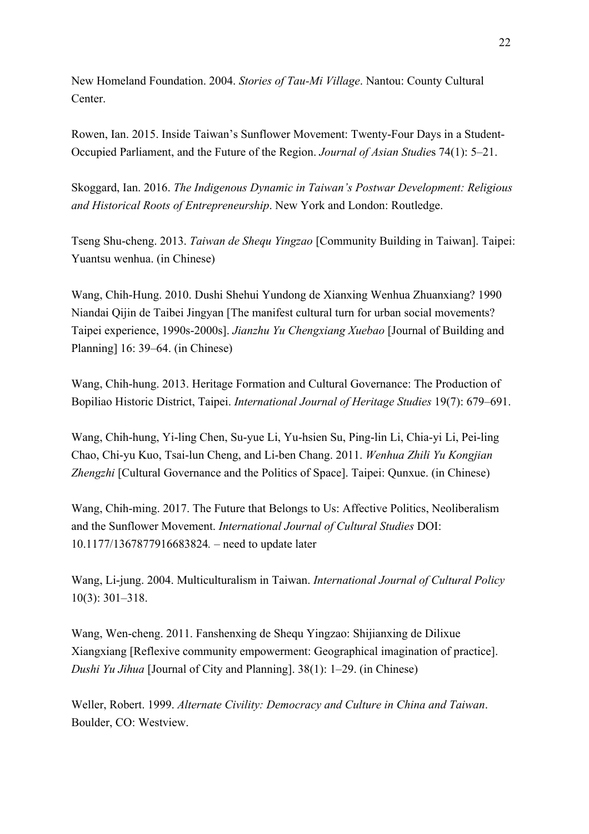New Homeland Foundation. 2004. *Stories of Tau-Mi Village*. Nantou: County Cultural Center.

Rowen, Ian. 2015. Inside Taiwan's Sunflower Movement: Twenty-Four Days in a Student-Occupied Parliament, and the Future of the Region. *Journal of Asian Studie*s 74(1): 5–21.

Skoggard, Ian. 2016. *The Indigenous Dynamic in Taiwan's Postwar Development: Religious and Historical Roots of Entrepreneurship*. New York and London: Routledge.

Tseng Shu-cheng. 2013. *Taiwan de Shequ Yingzao* [Community Building in Taiwan]. Taipei: Yuantsu wenhua. (in Chinese)

Wang, Chih-Hung. 2010. Dushi Shehui Yundong de Xianxing Wenhua Zhuanxiang? 1990 Niandai Qijin de Taibei Jingyan [The manifest cultural turn for urban social movements? Taipei experience, 1990s-2000s]. *Jianzhu Yu Chengxiang Xuebao* [Journal of Building and Planning] 16: 39–64. (in Chinese)

Wang, Chih-hung. 2013. Heritage Formation and Cultural Governance: The Production of Bopiliao Historic District, Taipei. *International Journal of Heritage Studies* 19(7): 679–691.

Wang, Chih-hung, Yi-ling Chen, Su-yue Li, Yu-hsien Su, Ping-lin Li, Chia-yi Li, Pei-ling Chao, Chi-yu Kuo, Tsai-lun Cheng, and Li-ben Chang. 2011. *Wenhua Zhili Yu Kongjian Zhengzhi* [Cultural Governance and the Politics of Space]. Taipei: Qunxue. (in Chinese)

Wang, Chih-ming. 2017. The Future that Belongs to Us: Affective Politics, Neoliberalism and the Sunflower Movement. *International Journal of Cultural Studies* DOI: 10.1177/1367877916683824*.* – need to update later

Wang, Li-jung. 2004. Multiculturalism in Taiwan. *International Journal of Cultural Policy*  10(3): 301–318.

Wang, Wen-cheng. 2011. Fanshenxing de Shequ Yingzao: Shijianxing de Dilixue Xiangxiang [Reflexive community empowerment: Geographical imagination of practice]. *Dushi Yu Jihua* [Journal of City and Planning]. 38(1): 1–29. (in Chinese)

Weller, Robert. 1999. *Alternate Civility: Democracy and Culture in China and Taiwan*. Boulder, CO: Westview.